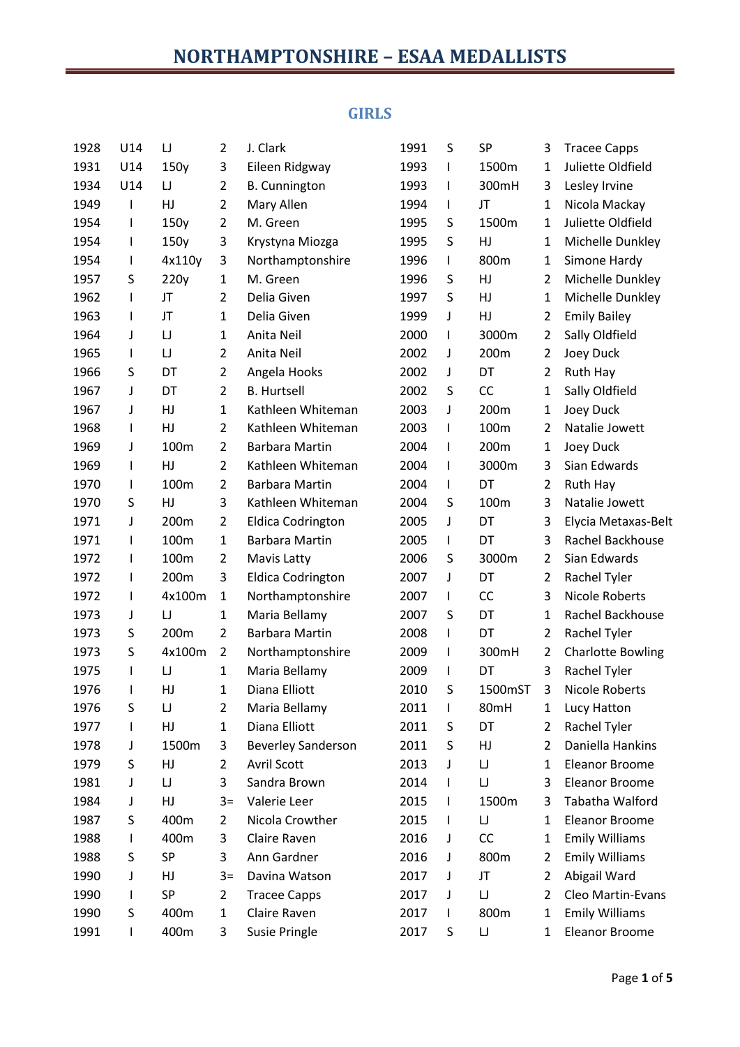## **GIRLS**

| 1928 | U14          | $\sqcup$ | $\overline{2}$ | J. Clark                  | 1991 | S            | SP       | 3              | <b>Tracee Capps</b>      |
|------|--------------|----------|----------------|---------------------------|------|--------------|----------|----------------|--------------------------|
| 1931 | U14          | 150y     | 3              | Eileen Ridgway            | 1993 | L            | 1500m    | 1              | Juliette Oldfield        |
| 1934 | U14          | IJ       | $\overline{2}$ | <b>B.</b> Cunnington      | 1993 | I            | 300mH    | 3              | Lesley Irvine            |
| 1949 | I            | HJ       | 2              | Mary Allen                | 1994 | L            | JT       | 1              | Nicola Mackay            |
| 1954 | $\mathsf{I}$ | 150y     | 2              | M. Green                  | 1995 | S            | 1500m    | 1              | Juliette Oldfield        |
| 1954 | I            | 150y     | 3              | Krystyna Miozga           | 1995 | S            | HJ       | 1              | Michelle Dunkley         |
| 1954 | T            | 4x110y   | 3              | Northamptonshire          | 1996 | L            | 800m     | 1              | Simone Hardy             |
| 1957 | S            | 220y     | $\mathbf{1}$   | M. Green                  | 1996 | S            | HJ       | 2              | Michelle Dunkley         |
| 1962 | $\mathsf{I}$ | JT       | 2              | Delia Given               | 1997 | S            | HJ       | $\mathbf{1}$   | Michelle Dunkley         |
| 1963 | $\mathsf{I}$ | JT       | 1              | Delia Given               | 1999 | J            | HJ       | $\overline{2}$ | <b>Emily Bailey</b>      |
| 1964 | J            | IJ       | $\mathbf{1}$   | Anita Neil                | 2000 | L            | 3000m    | $\overline{2}$ | Sally Oldfield           |
| 1965 | $\mathsf{I}$ | IJ       | $\overline{2}$ | Anita Neil                | 2002 | J            | 200m     | $\overline{2}$ | Joey Duck                |
| 1966 | S            | DT       | $\overline{2}$ | Angela Hooks              | 2002 | J            | DT       | $\overline{2}$ | Ruth Hay                 |
| 1967 | J            | DT       | $\overline{2}$ | <b>B.</b> Hurtsell        | 2002 | S            | CC       | 1              | Sally Oldfield           |
| 1967 | J            | HJ       | $\mathbf{1}$   | Kathleen Whiteman         | 2003 | J            | 200m     | 1              | Joey Duck                |
| 1968 | $\mathsf{I}$ | HJ       | $\overline{2}$ | Kathleen Whiteman         | 2003 | L            | 100m     | 2              | Natalie Jowett           |
| 1969 | J            | 100m     | $\overline{2}$ | Barbara Martin            | 2004 | L            | 200m     | 1              | Joey Duck                |
| 1969 | $\mathsf{I}$ | HJ       | 2              | Kathleen Whiteman         | 2004 | L            | 3000m    | 3              | Sian Edwards             |
| 1970 | T            | 100m     | 2              | <b>Barbara Martin</b>     | 2004 | L            | DT       | $\overline{2}$ | Ruth Hay                 |
| 1970 | S            | HJ       | 3              | Kathleen Whiteman         | 2004 | S            | 100m     | 3              | Natalie Jowett           |
| 1971 | J            | 200m     | 2              | <b>Eldica Codrington</b>  | 2005 | J            | DT       | 3              | Elycia Metaxas-Belt      |
| 1971 | I            | 100m     | 1              | Barbara Martin            | 2005 | L            | DT       | 3              | <b>Rachel Backhouse</b>  |
| 1972 | ı            | 100m     | 2              | <b>Mavis Latty</b>        | 2006 | S            | 3000m    | $\overline{2}$ | Sian Edwards             |
| 1972 | I            | 200m     | 3              | <b>Eldica Codrington</b>  | 2007 | J            | DT       | $\overline{2}$ | Rachel Tyler             |
| 1972 | $\mathsf{I}$ | 4x100m   | 1              | Northamptonshire          | 2007 | L            | CC       | 3              | <b>Nicole Roberts</b>    |
| 1973 | J            | IJ       | $\mathbf{1}$   | Maria Bellamy             | 2007 | S            | DT       | 1              | Rachel Backhouse         |
| 1973 | S            | 200m     | 2              | <b>Barbara Martin</b>     | 2008 | L            | DT       | $\overline{2}$ | Rachel Tyler             |
| 1973 | S            | 4x100m   | 2              | Northamptonshire          | 2009 | L            | 300mH    | $\overline{2}$ | <b>Charlotte Bowling</b> |
| 1975 | $\mathsf{I}$ | IJ       | $\mathbf{1}$   | Maria Bellamy             | 2009 | L            | DT       | 3              | Rachel Tyler             |
| 1976 | I            | HJ       | 1              | Diana Elliott             | 2010 | S            | 1500mST  | 3              | <b>Nicole Roberts</b>    |
| 1976 | S            | $\sqcup$ | 2              | Maria Bellamy             | 2011 | $\mathsf{I}$ | 80mH     | 1              | Lucy Hatton              |
| 1977 | I            | HJ       | $\mathbf{1}$   | Diana Elliott             | 2011 | S            | DT       | 2              | Rachel Tyler             |
| 1978 | J            | 1500m    | 3              | <b>Beverley Sanderson</b> | 2011 | S            | HJ       | $\overline{2}$ | Daniella Hankins         |
| 1979 | S            | HJ       | 2              | <b>Avril Scott</b>        | 2013 | J            | IJ       | 1              | <b>Eleanor Broome</b>    |
| 1981 | J            | IJ       | 3              | Sandra Brown              | 2014 | L            | $\sqcup$ | 3              | Eleanor Broome           |
| 1984 | J            | HJ       | $3=$           | Valerie Leer              | 2015 | L            | 1500m    | 3              | Tabatha Walford          |
| 1987 | S            | 400m     | 2              | Nicola Crowther           | 2015 | L            | $\sqcup$ | 1              | Eleanor Broome           |
| 1988 | L            | 400m     | 3              | Claire Raven              | 2016 | J            | CC       | 1              | <b>Emily Williams</b>    |
| 1988 | S            | SP       | 3              | Ann Gardner               | 2016 | J            | 800m     | 2              | <b>Emily Williams</b>    |
| 1990 | J            | HJ       | $3=$           | Davina Watson             | 2017 | J            | JT       | 2              | Abigail Ward             |
| 1990 | T            | SP       | $\overline{2}$ | <b>Tracee Capps</b>       | 2017 | J            | $\sqcup$ | $\overline{2}$ | Cleo Martin-Evans        |
| 1990 | S            | 400m     | $\mathbf{1}$   | Claire Raven              | 2017 | L            | 800m     | 1              | <b>Emily Williams</b>    |
| 1991 | ı            | 400m     | 3              | Susie Pringle             | 2017 | S            | IJ       | 1              | Eleanor Broome           |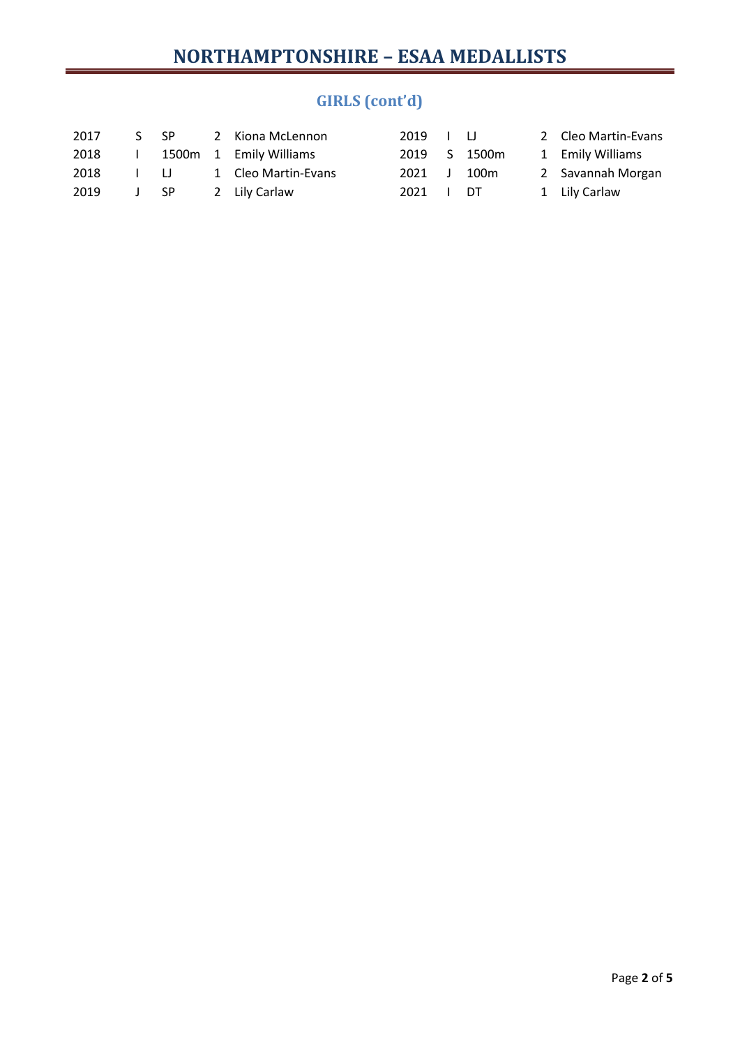# **GIRLS (cont'd)**

| 2017 |      | S SP   | 2 Kiona McLennon       | 2019 I LI |              | 2 Cleo Martin-Evans |
|------|------|--------|------------------------|-----------|--------------|---------------------|
| 2018 |      |        | 1500m 1 Emily Williams |           | 2019 S 1500m | 1 Emily Williams    |
| 2018 |      | $\Box$ | 1 Cleo Martin-Evans    | 2021 J    | 100m         | 2 Savannah Morgan   |
| 2019 | J SP |        | 2 Lily Carlaw          | 2021 I DT |              | 1 Lily Carlaw       |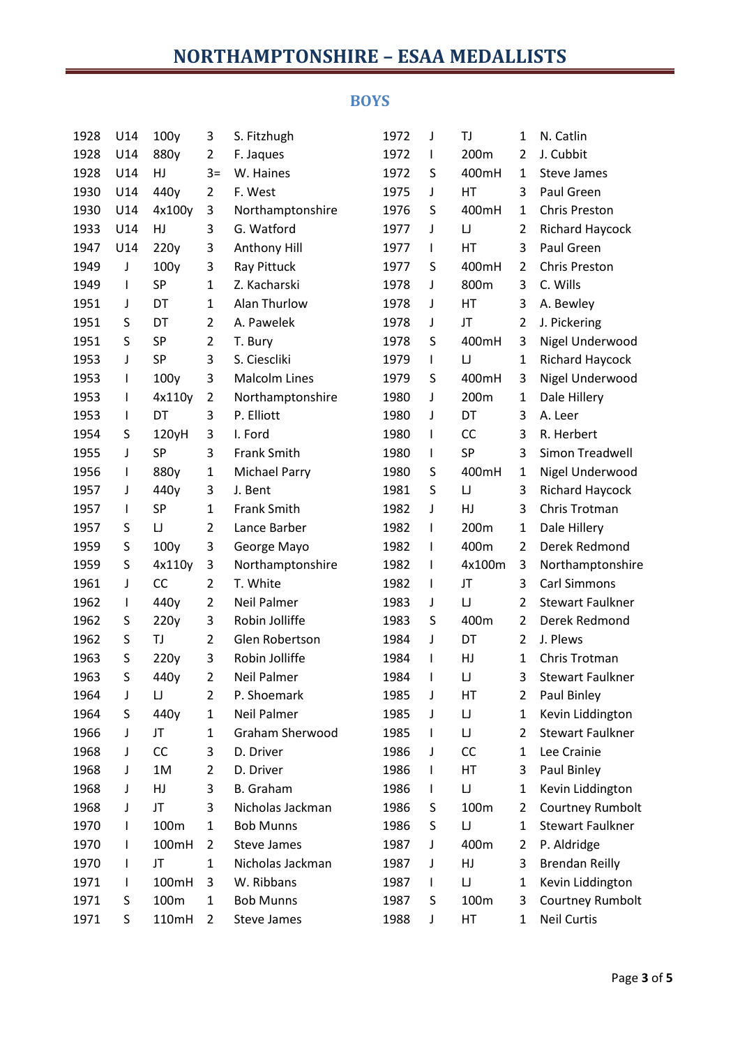#### **BOYS**

| 1928 | U14          | 100y      | 3              | S. Fitzhugh          | 1972 | J            | TJ                                     | 1            | N. Catlin               |
|------|--------------|-----------|----------------|----------------------|------|--------------|----------------------------------------|--------------|-------------------------|
| 1928 | U14          | 880y      | 2              | F. Jaques            | 1972 | L            | 200m                                   | 2            | J. Cubbit               |
| 1928 | U14          | HJ        | $3=$           | W. Haines            | 1972 | S            | 400mH                                  | 1            | <b>Steve James</b>      |
| 1930 | U14          | 440y      | 2              | F. West              | 1975 | J            | HT                                     | 3            | Paul Green              |
| 1930 | U14          | 4x100y    | 3              | Northamptonshire     | 1976 | S            | 400mH                                  | 1            | <b>Chris Preston</b>    |
| 1933 | U14          | HJ        | 3              | G. Watford           | 1977 | J            | IJ                                     | 2            | <b>Richard Haycock</b>  |
| 1947 | U14          | 220y      | 3              | Anthony Hill         | 1977 | L            | HT                                     | 3            | Paul Green              |
| 1949 | J            | 100y      | 3              | Ray Pittuck          | 1977 | S            | 400mH                                  | 2            | <b>Chris Preston</b>    |
| 1949 | $\mathsf{I}$ | <b>SP</b> | $\mathbf{1}$   | Z. Kacharski         | 1978 | J            | 800m                                   | 3            | C. Wills                |
| 1951 | J            | DT        | $\mathbf{1}$   | Alan Thurlow         | 1978 | J            | HT                                     | 3            | A. Bewley               |
| 1951 | S            | DT        | $\overline{2}$ | A. Pawelek           | 1978 | J            | JT                                     | 2            | J. Pickering            |
| 1951 | S            | <b>SP</b> | $\overline{2}$ | T. Bury              | 1978 | S            | 400mH                                  | 3            | Nigel Underwood         |
| 1953 | J            | SP        | 3              | S. Ciescliki         | 1979 | L            | IJ                                     | 1            | Richard Haycock         |
| 1953 | $\mathbf{I}$ | 100y      | 3              | <b>Malcolm Lines</b> | 1979 | S            | 400mH                                  | 3            | Nigel Underwood         |
| 1953 | $\mathbf{I}$ | 4x110y    | 2              | Northamptonshire     | 1980 | J            | 200m                                   | 1            | Dale Hillery            |
| 1953 | $\mathsf{I}$ | DT        | 3              | P. Elliott           | 1980 | J            | DT                                     | 3            | A. Leer                 |
| 1954 | S            | 120yH     | 3              | I. Ford              | 1980 | L            | CC                                     | 3            | R. Herbert              |
| 1955 | J            | SP        | 3              | <b>Frank Smith</b>   | 1980 | L            | SP                                     | 3            | Simon Treadwell         |
| 1956 | $\mathbf{I}$ | 880y      | $\mathbf{1}$   | <b>Michael Parry</b> | 1980 | S            | 400mH                                  | 1            | Nigel Underwood         |
| 1957 | J            | 440y      | 3              | J. Bent              | 1981 | S            | IJ                                     | 3            | <b>Richard Haycock</b>  |
| 1957 | $\mathbf{I}$ | SP        | $\mathbf{1}$   | <b>Frank Smith</b>   | 1982 | J            | HJ                                     | 3            | Chris Trotman           |
| 1957 | S            | IJ        | $\overline{2}$ | Lance Barber         | 1982 | L            | 200m                                   | $\mathbf{1}$ | Dale Hillery            |
| 1959 | S            | 100y      | 3              | George Mayo          | 1982 | L            | 400m                                   | 2            | Derek Redmond           |
| 1959 | S            | 4x110y    | 3              | Northamptonshire     | 1982 | L            | 4x100m                                 | 3            | Northamptonshire        |
| 1961 | J            | CC        | 2              | T. White             | 1982 | L            | JT                                     | 3            | <b>Carl Simmons</b>     |
| 1962 | $\mathbf{I}$ | 440y      | $\overline{2}$ | <b>Neil Palmer</b>   | 1983 | J            | IJ                                     | 2            | <b>Stewart Faulkner</b> |
| 1962 | S            | 220y      | 3              | Robin Jolliffe       | 1983 | S            | 400m                                   | 2            | Derek Redmond           |
| 1962 | S            | TJ        | $\overline{2}$ | Glen Robertson       | 1984 | J            | DT                                     | 2            | J. Plews                |
| 1963 | S            | 220y      | 3              | Robin Jolliffe       | 1984 | L            | HJ                                     | 1            | Chris Trotman           |
| 1963 | S            | 440y      | $\overline{2}$ | <b>Neil Palmer</b>   | 1984 | $\mathsf{I}$ | IJ                                     | 3            | <b>Stewart Faulkner</b> |
| 1964 | J            | IJ        | $\overline{2}$ | P. Shoemark          | 1985 | J            | НT                                     | 2            | Paul Binley             |
| 1964 | S            | 440y      | 1              | <b>Neil Palmer</b>   | 1985 | J            | IJ                                     | 1            | Kevin Liddington        |
| 1966 | J            | JT        | 1              | Graham Sherwood      | 1985 | L            | IJ                                     | 2            | <b>Stewart Faulkner</b> |
| 1968 | J            | CC        | 3              | D. Driver            | 1986 | J            | CC                                     | 1            | Lee Crainie             |
| 1968 | J            | 1M        | 2              | D. Driver            | 1986 | L            | HT                                     | 3            | Paul Binley             |
| 1968 | J            | HJ        | 3              | <b>B.</b> Graham     | 1986 | L            | $\sqcup$                               | 1            | Kevin Liddington        |
| 1968 | J            | JT        | 3              | Nicholas Jackman     | 1986 | S            | 100m                                   | 2            | <b>Courtney Rumbolt</b> |
| 1970 | $\mathbf{I}$ | 100m      | $\mathbf{1}$   | <b>Bob Munns</b>     | 1986 | S            | $\begin{array}{c} \square \end{array}$ | 1            | <b>Stewart Faulkner</b> |
| 1970 | $\mathbf{I}$ | 100mH     | 2              | <b>Steve James</b>   | 1987 | J            | 400m                                   | 2            | P. Aldridge             |
| 1970 | $\mathbf{I}$ | JT        | $\mathbf{1}$   | Nicholas Jackman     | 1987 | J            | HJ                                     | 3            | <b>Brendan Reilly</b>   |
| 1971 | $\mathbf{I}$ | 100mH     | 3              | W. Ribbans           | 1987 | L            | IJ                                     | 1            | Kevin Liddington        |
| 1971 | S            | 100m      | $\mathbf{1}$   | <b>Bob Munns</b>     | 1987 | S            | 100m                                   | 3            | <b>Courtney Rumbolt</b> |
| 1971 | S            | 110mH     | $\overline{2}$ | Steve James          | 1988 | J            | НT                                     | 1            | <b>Neil Curtis</b>      |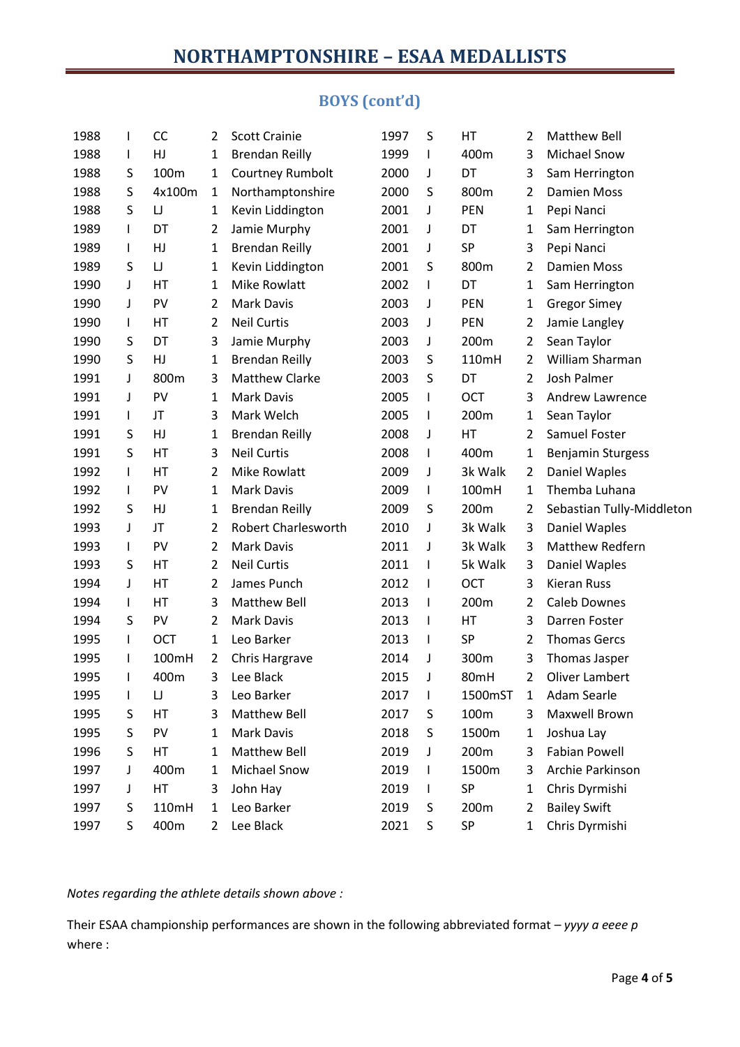## **BOYS (cont'd)**

| 1988 | $\mathsf{I}$ | <b>CC</b> | 2              | <b>Scott Crainie</b>       | 1997 | S            | HT      | 2              | Matthew Bell              |
|------|--------------|-----------|----------------|----------------------------|------|--------------|---------|----------------|---------------------------|
| 1988 | L            | HJ        | 1              | <b>Brendan Reilly</b>      | 1999 | L            | 400m    | 3              | <b>Michael Snow</b>       |
| 1988 | S            | 100m      | 1              | Courtney Rumbolt           | 2000 | J            | DT      | 3              | Sam Herrington            |
| 1988 | S            | 4x100m    | 1              | Northamptonshire           | 2000 | S            | 800m    | $\overline{2}$ | <b>Damien Moss</b>        |
| 1988 | S            | $\sqcup$  | 1              | Kevin Liddington           | 2001 | J            | PEN     | 1              | Pepi Nanci                |
| 1989 | L            | DT        | 2              | Jamie Murphy               | 2001 | J            | DT      | 1              | Sam Herrington            |
| 1989 | L            | HJ        | 1              | <b>Brendan Reilly</b>      | 2001 | J            | SP      | 3              | Pepi Nanci                |
| 1989 | S            | IJ        | 1              | Kevin Liddington           | 2001 | S            | 800m    | $\overline{2}$ | <b>Damien Moss</b>        |
| 1990 | J            | НT        | 1              | <b>Mike Rowlatt</b>        | 2002 | I            | DT      | 1              | Sam Herrington            |
| 1990 | J            | PV        | 2              | <b>Mark Davis</b>          | 2003 | J            | PEN     | 1              | <b>Gregor Simey</b>       |
| 1990 | L            | НT        | 2              | <b>Neil Curtis</b>         | 2003 | J            | PEN     | $\overline{2}$ | Jamie Langley             |
| 1990 | S            | DT        | 3              | Jamie Murphy               | 2003 | J            | 200m    | 2              | Sean Taylor               |
| 1990 | S            | HJ        | 1              | <b>Brendan Reilly</b>      | 2003 | S            | 110mH   | 2              | William Sharman           |
| 1991 | J            | 800m      | 3              | <b>Matthew Clarke</b>      | 2003 | S            | DT      | $\overline{2}$ | <b>Josh Palmer</b>        |
| 1991 | J            | PV        | 1              | <b>Mark Davis</b>          | 2005 | I            | OCT     | 3              | <b>Andrew Lawrence</b>    |
| 1991 | L            | JT        | 3              | Mark Welch                 | 2005 | I            | 200m    | 1              | Sean Taylor               |
| 1991 | S            | HJ        | 1              | <b>Brendan Reilly</b>      | 2008 | J            | HT      | 2              | Samuel Foster             |
| 1991 | S            | HT        | 3              | <b>Neil Curtis</b>         | 2008 | L            | 400m    | 1              | <b>Benjamin Sturgess</b>  |
| 1992 | L            | НT        | 2              | Mike Rowlatt               | 2009 | J            | 3k Walk | 2              | Daniel Waples             |
| 1992 | L            | PV        | 1              | <b>Mark Davis</b>          | 2009 | L            | 100mH   | 1              | Themba Luhana             |
| 1992 | S            | HJ        | 1              | <b>Brendan Reilly</b>      | 2009 | S            | 200m    | 2              | Sebastian Tully-Middleton |
| 1993 | J            | JT        | 2              | <b>Robert Charlesworth</b> | 2010 | J            | 3k Walk | 3              | Daniel Waples             |
| 1993 | L            | PV        | 2              | <b>Mark Davis</b>          | 2011 | J            | 3k Walk | 3              | Matthew Redfern           |
| 1993 | S            | НT        | $\overline{2}$ | <b>Neil Curtis</b>         | 2011 | $\mathsf{I}$ | 5k Walk | 3              | Daniel Waples             |
| 1994 | J            | НT        | 2              | James Punch                | 2012 | I            | OCT     | 3              | <b>Kieran Russ</b>        |
| 1994 | L            | HT        | 3              | <b>Matthew Bell</b>        | 2013 | I            | 200m    | 2              | <b>Caleb Downes</b>       |
| 1994 | S            | PV        | 2              | <b>Mark Davis</b>          | 2013 | I            | HT      | 3              | Darren Foster             |
| 1995 | L            | OCT       | 1              | Leo Barker                 | 2013 | $\mathsf{I}$ | SP      | $\overline{2}$ | <b>Thomas Gercs</b>       |
| 1995 | L            | 100mH     | 2              | Chris Hargrave             | 2014 | J            | 300m    | 3              | Thomas Jasper             |
| 1995 | L            | 400m      | 3              | Lee Black                  | 2015 | J            | 80mH    | 2              | <b>Oliver Lambert</b>     |
| 1995 | L            | IJ        | 3              | Leo Barker                 | 2017 | $\mathbf{I}$ | 1500mST | 1              | Adam Searle               |
| 1995 | S            | HT        | 3              | <b>Matthew Bell</b>        | 2017 | S            | 100m    | 3              | Maxwell Brown             |
| 1995 | S            | PV        | 1              | <b>Mark Davis</b>          | 2018 | S            | 1500m   | 1              | Joshua Lay                |
| 1996 | S            | HT        | 1              | Matthew Bell               | 2019 | J            | 200m    | 3              | <b>Fabian Powell</b>      |
| 1997 | J            | 400m      | 1              | Michael Snow               | 2019 | $\mathsf{I}$ | 1500m   | 3              | Archie Parkinson          |
| 1997 | J            | HT        | 3              | John Hay                   | 2019 | L            | SP      | 1              | Chris Dyrmishi            |
| 1997 | S            | 110mH     | 1              | Leo Barker                 | 2019 | S            | 200m    | 2              | <b>Bailey Swift</b>       |
| 1997 | S            | 400m      | 2              | Lee Black                  | 2021 | S            | SP      | 1              | Chris Dyrmishi            |
|      |              |           |                |                            |      |              |         |                |                           |

*Notes regarding the athlete details shown above :*

Their ESAA championship performances are shown in the following abbreviated format – *yyyy a eeee p* where :